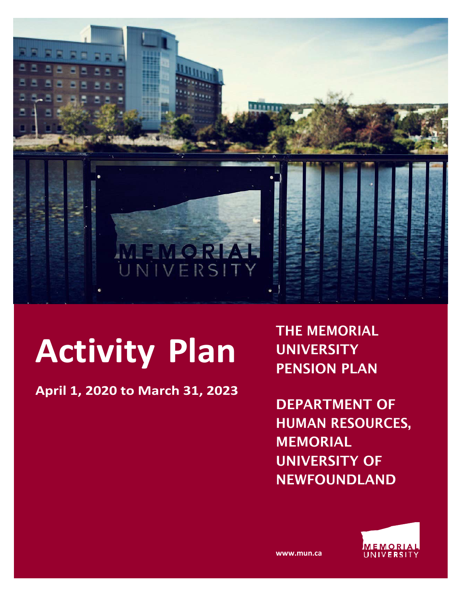

# **Activity Plan**

**April 1, 2020 to March 31, 2023**

THE MEMORIAL **UNIVERSITY** PENSION PLAN

DEPARTMENT OF HUMAN RESOURCES, MEMORIAL UNIVERSITY OF NEWFOUNDLAND



**www.mun.ca**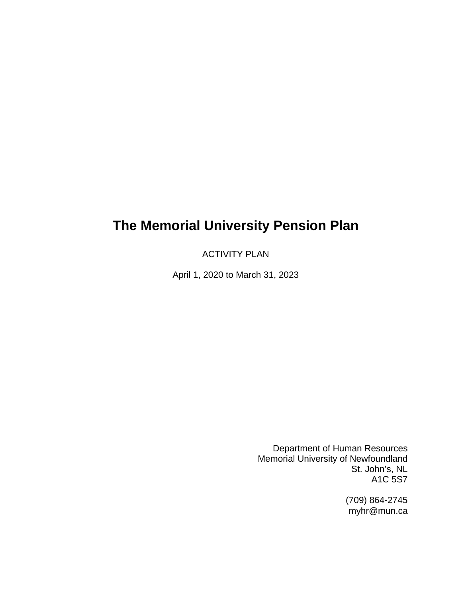# **The Memorial University Pension Plan**

ACTIVITY PLAN

April 1, 2020 to March 31, 2023

Department of Human Resources Memorial University of Newfoundland St. John's, NL A1C 5S7

> (709) 864-2745 myhr@mun.ca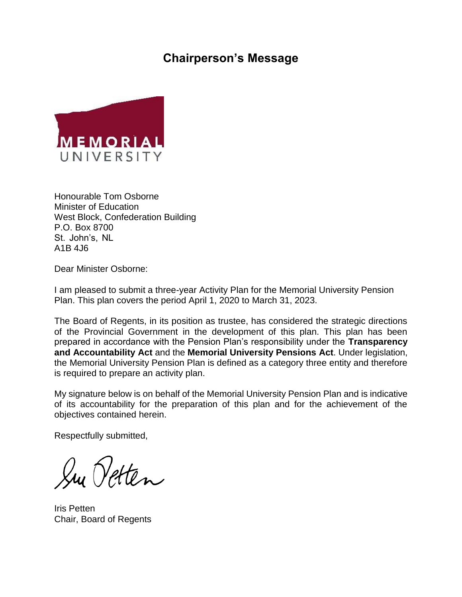# **Chairperson's Message**



Honourable Tom Osborne Minister of Education West Block, Confederation Building P.O. Box 8700 St. John's, NL A1B 4J6

Dear Minister Osborne:

I am pleased to submit a three-year Activity Plan for the Memorial University Pension Plan. This plan covers the period April 1, 2020 to March 31, 2023.

The Board of Regents, in its position as trustee, has considered the strategic directions of the Provincial Government in the development of this plan. This plan has been prepared in accordance with the Pension Plan's responsibility under the **Transparency and Accountability Act** and the **Memorial University Pensions Act**. Under legislation, the Memorial University Pension Plan is defined as a category three entity and therefore is required to prepare an activity plan.

My signature below is on behalf of the Memorial University Pension Plan and is indicative of its accountability for the preparation of this plan and for the achievement of the objectives contained herein.

Respectfully submitted,

Su Vetten

Iris Petten Chair, Board of Regents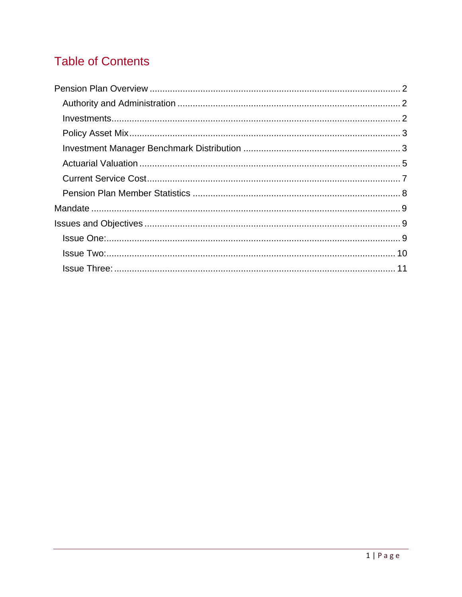# **Table of Contents**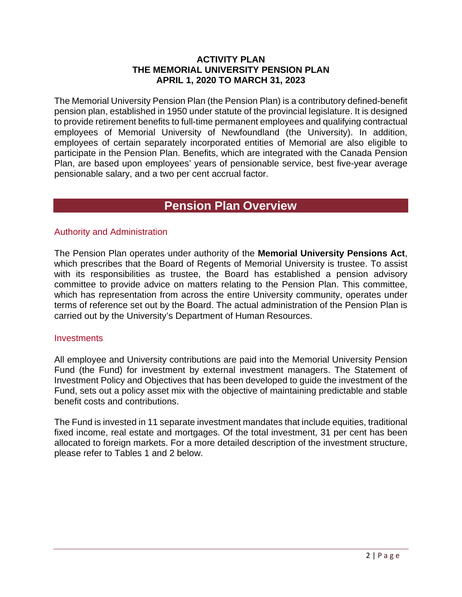#### **ACTIVITY PLAN THE MEMORIAL UNIVERSITY PENSION PLAN APRIL 1, 2020 TO MARCH 31, 2023**

The Memorial University Pension Plan (the Pension Plan) is a contributory defined-benefit pension plan, established in 1950 under statute of the provincial legislature. It is designed to provide retirement benefits to full-time permanent employees and qualifying contractual employees of Memorial University of Newfoundland (the University). In addition, employees of certain separately incorporated entities of Memorial are also eligible to participate in the Pension Plan. Benefits, which are integrated with the Canada Pension Plan, are based upon employees' years of pensionable service, best five-year average pensionable salary, and a two per cent accrual factor.

# **Pension Plan Overview**

#### Authority and Administration

The Pension Plan operates under authority of the **Memorial University Pensions Act**, which prescribes that the Board of Regents of Memorial University is trustee. To assist with its responsibilities as trustee, the Board has established a pension advisory committee to provide advice on matters relating to the Pension Plan. This committee, which has representation from across the entire University community, operates under terms of reference set out by the Board. The actual administration of the Pension Plan is carried out by the University's Department of Human Resources.

#### **Investments**

All employee and University contributions are paid into the Memorial University Pension Fund (the Fund) for investment by external investment managers. The Statement of Investment Policy and Objectives that has been developed to guide the investment of the Fund, sets out a policy asset mix with the objective of maintaining predictable and stable benefit costs and contributions.

The Fund is invested in 11 separate investment mandates that include equities, traditional fixed income, real estate and mortgages. Of the total investment, 31 per cent has been allocated to foreign markets. For a more detailed description of the investment structure, please refer to Tables 1 and 2 below.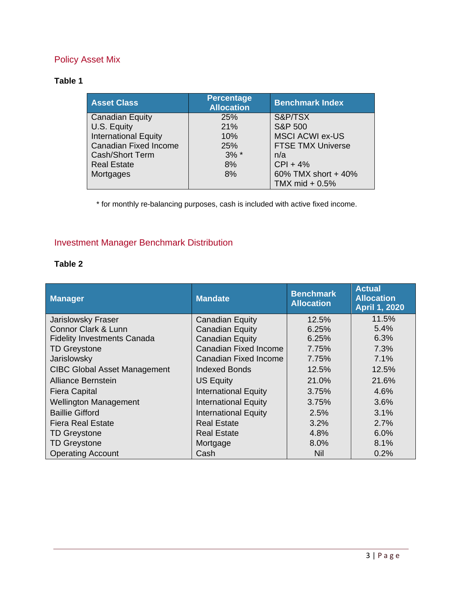## Policy Asset Mix

#### **Table 1**

| <b>Asset Class</b>           | <b>Percentage</b><br><b>Allocation</b> | <b>Benchmark Index</b>   |  |
|------------------------------|----------------------------------------|--------------------------|--|
| <b>Canadian Equity</b>       | 25%                                    | S&P/TSX                  |  |
| U.S. Equity                  | 21%                                    | <b>S&amp;P 500</b>       |  |
| <b>International Equity</b>  | 10%                                    | <b>MSCI ACWI ex-US</b>   |  |
| <b>Canadian Fixed Income</b> | 25%                                    | <b>FTSE TMX Universe</b> |  |
| Cash/Short Term              | $3\%$ *                                | n/a                      |  |
| <b>Real Estate</b>           | 8%                                     | $CPI + 4%$               |  |
| Mortgages                    | 8%                                     | 60% TMX short + 40%      |  |
|                              |                                        | TMX mid $+0.5%$          |  |

\* for monthly re-balancing purposes, cash is included with active fixed income.

## Investment Manager Benchmark Distribution

#### **Table 2**

| <b>Manager</b>                      | <b>Mandate</b>               | <b>Benchmark</b><br><b>Allocation</b> | <b>Actual</b><br><b>Allocation</b><br><b>April 1, 2020</b> |
|-------------------------------------|------------------------------|---------------------------------------|------------------------------------------------------------|
| Jarislowsky Fraser                  | <b>Canadian Equity</b>       | 12.5%                                 | 11.5%                                                      |
| <b>Connor Clark &amp; Lunn</b>      | <b>Canadian Equity</b>       | 6.25%                                 | 5.4%                                                       |
| <b>Fidelity Investments Canada</b>  | <b>Canadian Equity</b>       | 6.25%                                 | 6.3%                                                       |
| <b>TD Greystone</b>                 | <b>Canadian Fixed Income</b> | 7.75%                                 | 7.3%                                                       |
| Jarislowsky                         | <b>Canadian Fixed Income</b> | 7.75%                                 | 7.1%                                                       |
| <b>CIBC Global Asset Management</b> | Indexed Bonds                | 12.5%                                 | 12.5%                                                      |
| Alliance Bernstein                  | US Equity                    | 21.0%                                 | 21.6%                                                      |
| <b>Fiera Capital</b>                | <b>International Equity</b>  | 3.75%                                 | 4.6%                                                       |
| <b>Wellington Management</b>        | <b>International Equity</b>  | 3.75%                                 | 3.6%                                                       |
| <b>Baillie Gifford</b>              | <b>International Equity</b>  | 2.5%                                  | 3.1%                                                       |
| Fiera Real Estate                   | <b>Real Estate</b>           | 3.2%                                  | 2.7%                                                       |
| <b>TD</b> Greystone                 | <b>Real Estate</b>           | 4.8%                                  | 6.0%                                                       |
| <b>TD</b> Greystone                 | Mortgage                     | 8.0%                                  | 8.1%                                                       |
| <b>Operating Account</b>            | Cash                         | <b>Nil</b>                            | 0.2%                                                       |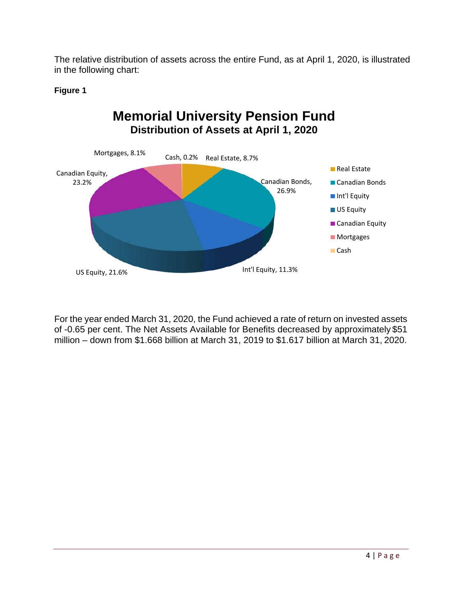The relative distribution of assets across the entire Fund, as at April 1, 2020, is illustrated in the following chart:

#### **Figure 1**



For the year ended March 31, 2020, the Fund achieved a rate of return on invested assets of -0.65 per cent. The Net Assets Available for Benefits decreased by approximately \$51 million – down from \$1.668 billion at March 31, 2019 to \$1.617 billion at March 31, 2020.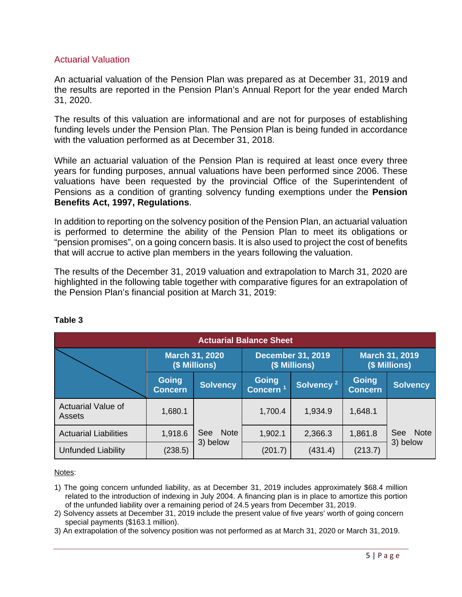#### Actuarial Valuation

An actuarial valuation of the Pension Plan was prepared as at December 31, 2019 and the results are reported in the Pension Plan's Annual Report for the year ended March 31, 2020.

The results of this valuation are informational and are not for purposes of establishing funding levels under the Pension Plan. The Pension Plan is being funded in accordance with the valuation performed as at December 31, 2018.

While an actuarial valuation of the Pension Plan is required at least once every three years for funding purposes, annual valuations have been performed since 2006. These valuations have been requested by the provincial Office of the Superintendent of Pensions as a condition of granting solvency funding exemptions under the **Pension Benefits Act, 1997, Regulations**.

In addition to reporting on the solvency position of the Pension Plan, an actuarial valuation is performed to determine the ability of the Pension Plan to meet its obligations or "pension promises", on a going concern basis. It is also used to project the cost of benefits that will accrue to active plan members in the years following the valuation.

The results of the December 31, 2019 valuation and extrapolation to March 31, 2020 are highlighted in the following table together with comparative figures for an extrapolation of the Pension Plan's financial position at March 31, 2019:

| <b>Actuarial Balance Sheet</b>      |                                                                                     |                    |                                        |                       |                                |                           |
|-------------------------------------|-------------------------------------------------------------------------------------|--------------------|----------------------------------------|-----------------------|--------------------------------|---------------------------|
|                                     | <b>December 31, 2019</b><br><b>March 31, 2020</b><br>(\$ Millions)<br>(\$ Millions) |                    | <b>March 31, 2019</b><br>(\$ Millions) |                       |                                |                           |
|                                     | <b>Going</b><br><b>Concern</b>                                                      | <b>Solvency</b>    | Going<br><b>Concern</b>                | Solvency <sup>2</sup> | <b>Going</b><br><b>Concern</b> | <b>Solvency</b>           |
| <b>Actuarial Value of</b><br>Assets | 1,680.1                                                                             |                    | 1,700.4                                | 1,934.9               | 1,648.1                        |                           |
| <b>Actuarial Liabilities</b>        | 1,918.6                                                                             | <b>Note</b><br>See | 1,902.1                                | 2,366.3               | 1,861.8                        | <b>Note</b><br><b>See</b> |
| <b>Unfunded Liability</b>           | (238.5)                                                                             | 3) below           | (201.7)                                | (431.4)               | (213.7)                        | 3) below                  |

#### **Table 3**

Notes:

- 1) The going concern unfunded liability, as at December 31, 2019 includes approximately \$68.4 million related to the introduction of indexing in July 2004. A financing plan is in place to amortize this portion of the unfunded liability over a remaining period of 24.5 years from December 31, 2019.
- 2) Solvency assets at December 31, 2019 include the present value of five years' worth of going concern special payments (\$163.1 million).
- 3) An extrapolation of the solvency position was not performed as at March 31, 2020 or March 31, 2019.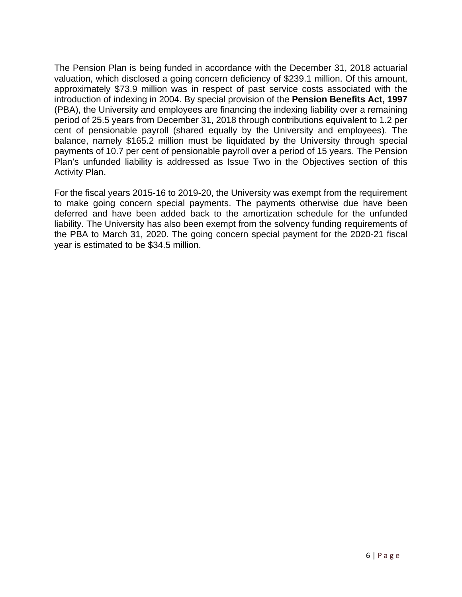The Pension Plan is being funded in accordance with the December 31, 2018 actuarial valuation, which disclosed a going concern deficiency of \$239.1 million. Of this amount, approximately \$73.9 million was in respect of past service costs associated with the introduction of indexing in 2004. By special provision of the **Pension Benefits Act, 1997**  (PBA), the University and employees are financing the indexing liability over a remaining period of 25.5 years from December 31, 2018 through contributions equivalent to 1.2 per cent of pensionable payroll (shared equally by the University and employees). The balance, namely \$165.2 million must be liquidated by the University through special payments of 10.7 per cent of pensionable payroll over a period of 15 years. The Pension Plan's unfunded liability is addressed as Issue Two in the Objectives section of this Activity Plan.

For the fiscal years 2015-16 to 2019-20, the University was exempt from the requirement to make going concern special payments. The payments otherwise due have been deferred and have been added back to the amortization schedule for the unfunded liability. The University has also been exempt from the solvency funding requirements of the PBA to March 31, 2020. The going concern special payment for the 2020-21 fiscal year is estimated to be \$34.5 million.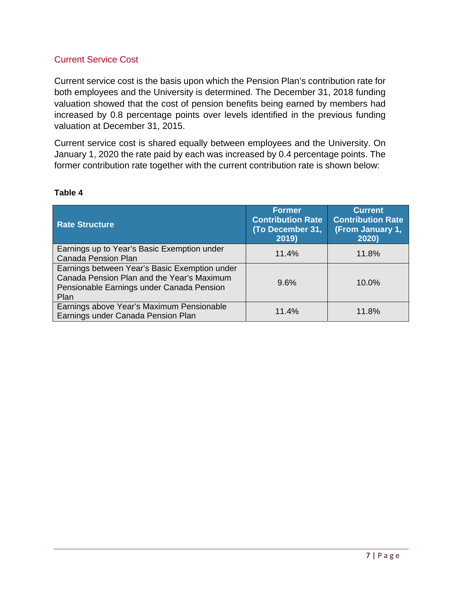#### Current Service Cost

Current service cost is the basis upon which the Pension Plan's contribution rate for both employees and the University is determined. The December 31, 2018 funding valuation showed that the cost of pension benefits being earned by members had increased by 0.8 percentage points over levels identified in the previous funding valuation at December 31, 2015.

Current service cost is shared equally between employees and the University. On January 1, 2020 the rate paid by each was increased by 0.4 percentage points. The former contribution rate together with the current contribution rate is shown below:

| <b>Rate Structure</b>                                                                                                                            | <b>Former</b><br><b>Contribution Rate</b><br>(To December 31,<br>2019) | <b>Current</b><br><b>Contribution Rate</b><br>(From January 1,<br>2020) |
|--------------------------------------------------------------------------------------------------------------------------------------------------|------------------------------------------------------------------------|-------------------------------------------------------------------------|
| Earnings up to Year's Basic Exemption under<br><b>Canada Pension Plan</b>                                                                        | 11.4%                                                                  | 11.8%                                                                   |
| Earnings between Year's Basic Exemption under<br>Canada Pension Plan and the Year's Maximum<br>Pensionable Earnings under Canada Pension<br>Plan | 9.6%                                                                   | 10.0%                                                                   |
| Earnings above Year's Maximum Pensionable<br>Earnings under Canada Pension Plan                                                                  | 11.4%                                                                  | 11.8%                                                                   |

#### **Table 4**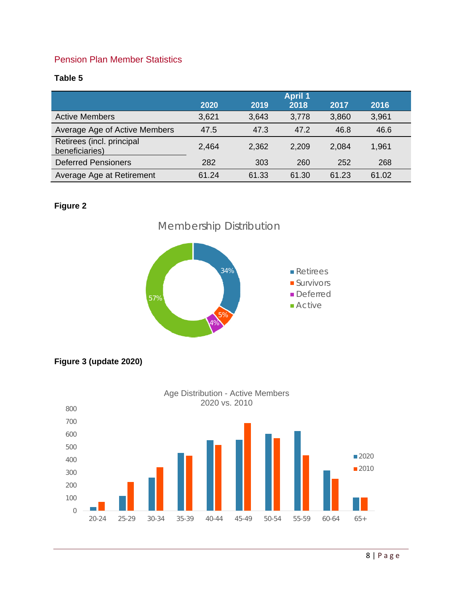#### Pension Plan Member Statistics

#### **Table 5**

|                                             | <b>April 1</b> |       |       |       |       |
|---------------------------------------------|----------------|-------|-------|-------|-------|
|                                             | 2020           | 2019  | 2018  | 2017  | 2016  |
| <b>Active Members</b>                       | 3,621          | 3,643 | 3,778 | 3,860 | 3,961 |
| Average Age of Active Members               | 47.5           | 47.3  | 47.2  | 46.8  | 46.6  |
| Retirees (incl. principal<br>beneficiaries) | 2,464          | 2,362 | 2,209 | 2,084 | 1,961 |
| <b>Deferred Pensioners</b>                  | 282            | 303   | 260   | 252   | 268   |
| Average Age at Retirement                   | 61.24          | 61.33 | 61.30 | 61.23 | 61.02 |

#### **Figure 2**







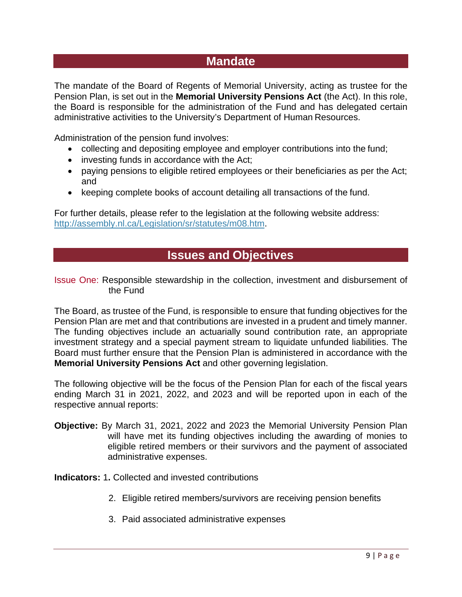# **Mandate**

The mandate of the Board of Regents of Memorial University, acting as trustee for the Pension Plan, is set out in the **Memorial University Pensions Act** (the Act). In this role, the Board is responsible for the administration of the Fund and has delegated certain administrative activities to the University's Department of Human Resources.

Administration of the pension fund involves:

- collecting and depositing employee and employer contributions into the fund;
- investing funds in accordance with the Act;
- paying pensions to eligible retired employees or their beneficiaries as per the Act; and
- keeping complete books of account detailing all transactions of the fund.

For further details, please refer to the legislation at the following website address: http://assembly.nl.ca/Legislation/sr/statutes/m08.htm.

# **Issues and Objectives**

Issue One: Responsible stewardship in the collection, investment and disbursement of the Fund

The Board, as trustee of the Fund, is responsible to ensure that funding objectives for the Pension Plan are met and that contributions are invested in a prudent and timely manner. The funding objectives include an actuarially sound contribution rate, an appropriate investment strategy and a special payment stream to liquidate unfunded liabilities. The Board must further ensure that the Pension Plan is administered in accordance with the **Memorial University Pensions Act** and other governing legislation.

The following objective will be the focus of the Pension Plan for each of the fiscal years ending March 31 in 2021, 2022, and 2023 and will be reported upon in each of the respective annual reports:

**Objective:** By March 31, 2021, 2022 and 2023 the Memorial University Pension Plan will have met its funding objectives including the awarding of monies to eligible retired members or their survivors and the payment of associated administrative expenses.

**Indicators:** 1**.** Collected and invested contributions

- 2. Eligible retired members/survivors are receiving pension benefits
- 3. Paid associated administrative expenses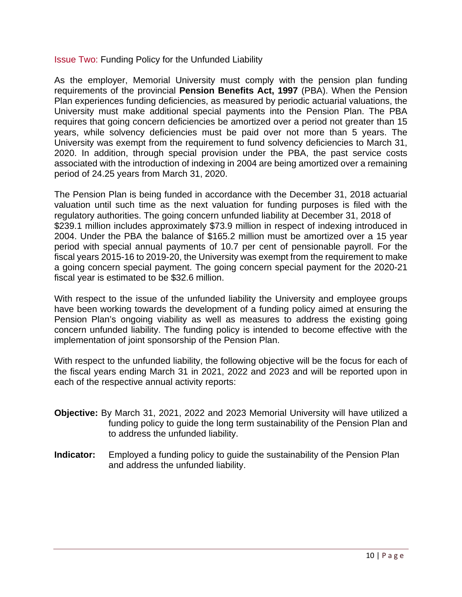#### Issue Two: Funding Policy for the Unfunded Liability

As the employer, Memorial University must comply with the pension plan funding requirements of the provincial **Pension Benefits Act, 1997** (PBA). When the Pension Plan experiences funding deficiencies, as measured by periodic actuarial valuations, the University must make additional special payments into the Pension Plan. The PBA requires that going concern deficiencies be amortized over a period not greater than 15 years, while solvency deficiencies must be paid over not more than 5 years. The University was exempt from the requirement to fund solvency deficiencies to March 31, 2020. In addition, through special provision under the PBA, the past service costs associated with the introduction of indexing in 2004 are being amortized over a remaining period of 24.25 years from March 31, 2020.

The Pension Plan is being funded in accordance with the December 31, 2018 actuarial valuation until such time as the next valuation for funding purposes is filed with the regulatory authorities. The going concern unfunded liability at December 31, 2018 of \$239.1 million includes approximately \$73.9 million in respect of indexing introduced in 2004. Under the PBA the balance of \$165.2 million must be amortized over a 15 year period with special annual payments of 10.7 per cent of pensionable payroll. For the fiscal years 2015-16 to 2019-20, the University was exempt from the requirement to make a going concern special payment. The going concern special payment for the 2020-21 fiscal year is estimated to be \$32.6 million.

With respect to the issue of the unfunded liability the University and employee groups have been working towards the development of a funding policy aimed at ensuring the Pension Plan's ongoing viability as well as measures to address the existing going concern unfunded liability. The funding policy is intended to become effective with the implementation of joint sponsorship of the Pension Plan.

With respect to the unfunded liability, the following objective will be the focus for each of the fiscal years ending March 31 in 2021, 2022 and 2023 and will be reported upon in each of the respective annual activity reports:

- **Objective:** By March 31, 2021, 2022 and 2023 Memorial University will have utilized a funding policy to guide the long term sustainability of the Pension Plan and to address the unfunded liability.
- **Indicator:** Employed a funding policy to guide the sustainability of the Pension Plan and address the unfunded liability.